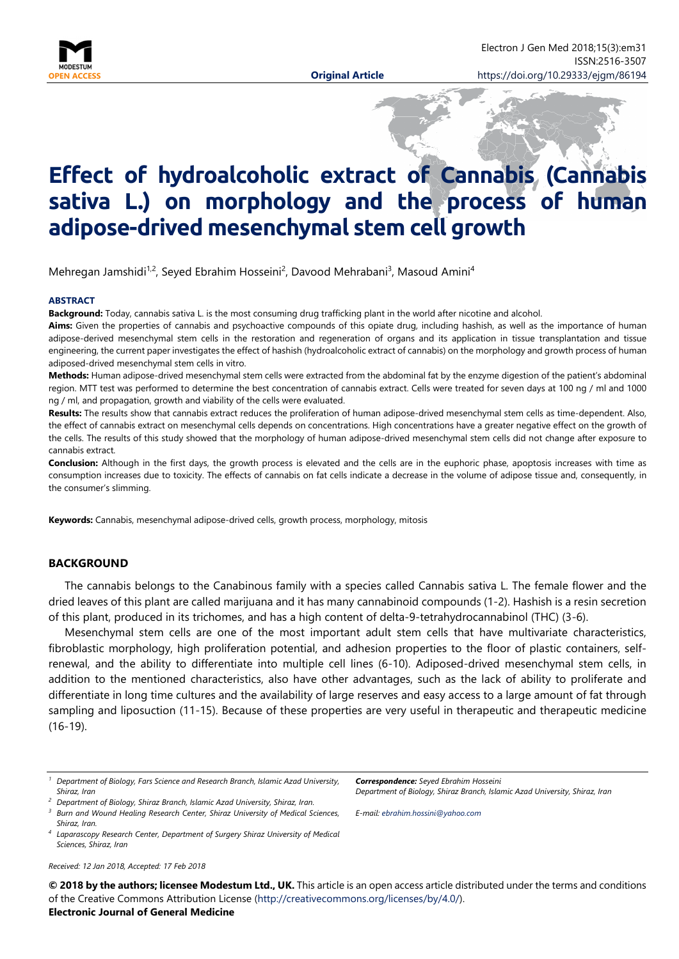

# **Effect of hydroalcoholic extract of Cannabis (Cannabis sativa L.) on morphology and the process of human adipose-drived mesenchymal stem cell growth**

Mehregan Jamshidi<sup>1,2</sup>, Seyed Ebrahim Hosseini<sup>2</sup>, Davood Mehrabani<sup>3</sup>, Masoud Amini<sup>4</sup>

#### **ABSTRACT**

**Background:** Today, cannabis sativa L. is the most consuming drug trafficking plant in the world after nicotine and alcohol.

**Aims:** Given the properties of cannabis and psychoactive compounds of this opiate drug, including hashish, as well as the importance of human adipose-derived mesenchymal stem cells in the restoration and regeneration of organs and its application in tissue transplantation and tissue engineering, the current paper investigates the effect of hashish (hydroalcoholic extract of cannabis) on the morphology and growth process of human adiposed-drived mesenchymal stem cells in vitro.

**Methods:** Human adipose-drived mesenchymal stem cells were extracted from the abdominal fat by the enzyme digestion of the patient's abdominal region. MTT test was performed to determine the best concentration of cannabis extract. Cells were treated for seven days at 100 ng / ml and 1000 ng / ml, and propagation, growth and viability of the cells were evaluated.

**Results:** The results show that cannabis extract reduces the proliferation of human adipose-drived mesenchymal stem cells as time-dependent. Also, the effect of cannabis extract on mesenchymal cells depends on concentrations. High concentrations have a greater negative effect on the growth of the cells. The results of this study showed that the morphology of human adipose-drived mesenchymal stem cells did not change after exposure to cannabis extract.

**Conclusion:** Although in the first days, the growth process is elevated and the cells are in the euphoric phase, apoptosis increases with time as consumption increases due to toxicity. The effects of cannabis on fat cells indicate a decrease in the volume of adipose tissue and, consequently, in the consumer's slimming.

**Keywords:** Cannabis, mesenchymal adipose-drived cells, growth process, morphology, mitosis

#### **BACKGROUND**

The cannabis belongs to the Canabinous family with a species called Cannabis sativa L. The female flower and the dried leaves of this plant are called marijuana and it has many cannabinoid compounds (1-2). Hashish is a resin secretion of this plant, produced in its trichomes, and has a high content of delta-9-tetrahydrocannabinol (THC) (3-6).

Mesenchymal stem cells are one of the most important adult stem cells that have multivariate characteristics, fibroblastic morphology, high proliferation potential, and adhesion properties to the floor of plastic containers, selfrenewal, and the ability to differentiate into multiple cell lines (6-10). Adiposed-drived mesenchymal stem cells, in addition to the mentioned characteristics, also have other advantages, such as the lack of ability to proliferate and differentiate in long time cultures and the availability of large reserves and easy access to a large amount of fat through sampling and liposuction (11-15). Because of these properties are very useful in therapeutic and therapeutic medicine (16-19).

- *1 Department of Biology, Fars Science and Research Branch, Islamic Azad University, Shiraz, Iran*
- <sup>2</sup> Department of Biology, Shiraz Branch, Islamic Azad University, Shiraz, Iran.
- *3 Burn and Wound Healing Research Center, Shiraz University of Medical Sciences, Shiraz, Iran.*
- <sup>4</sup> Laparascopy Research Center, Department of Surgery Shiraz University of Medical *Sciences, Shiraz, Iran*

*Received: 12 Jan 2018, Accepted: 17 Feb 2018* 

*Correspondence: Seyed Ebrahim Hosseini Department of Biology, Shiraz Branch, Islamic Azad University, Shiraz, Iran* 

*E-mail: ebrahim.hossini@yahoo.com* 

**© 2018 by the authors; licensee Modestum Ltd., UK.** This article is an open access article distributed under the terms and conditions of the Creative Commons Attribution License (http://creativecommons.org/licenses/by/4.0/).

#### **Electronic Journal of General Medicine**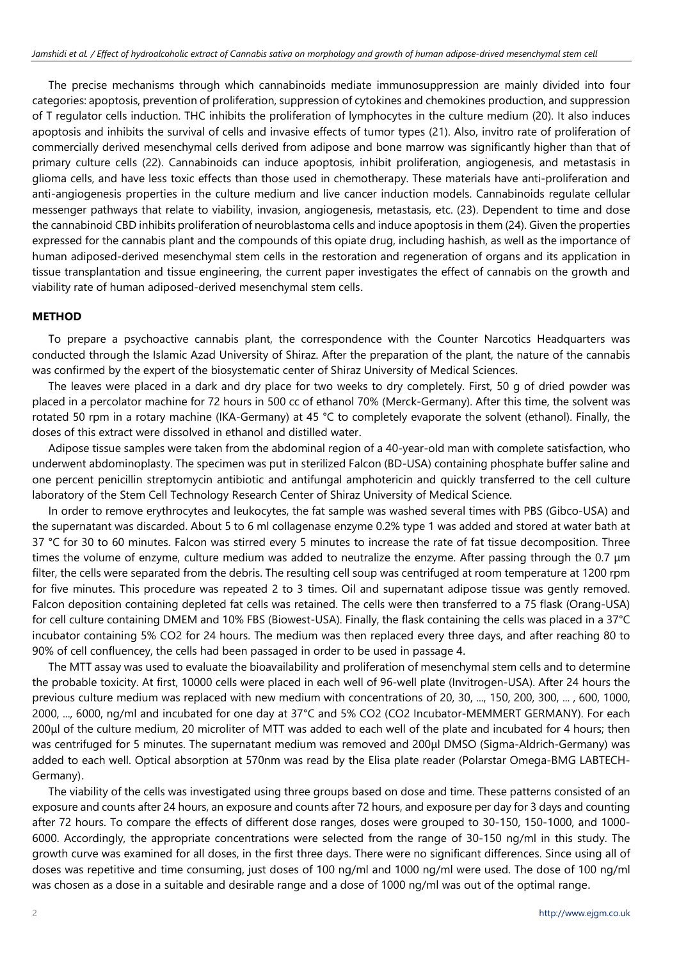The precise mechanisms through which cannabinoids mediate immunosuppression are mainly divided into four categories: apoptosis, prevention of proliferation, suppression of cytokines and chemokines production, and suppression of T regulator cells induction. THC inhibits the proliferation of lymphocytes in the culture medium (20). It also induces apoptosis and inhibits the survival of cells and invasive effects of tumor types (21). Also, invitro rate of proliferation of commercially derived mesenchymal cells derived from adipose and bone marrow was significantly higher than that of primary culture cells (22). Cannabinoids can induce apoptosis, inhibit proliferation, angiogenesis, and metastasis in glioma cells, and have less toxic effects than those used in chemotherapy. These materials have anti-proliferation and anti-angiogenesis properties in the culture medium and live cancer induction models. Cannabinoids regulate cellular messenger pathways that relate to viability, invasion, angiogenesis, metastasis, etc. (23). Dependent to time and dose the cannabinoid CBD inhibits proliferation of neuroblastoma cells and induce apoptosis in them (24). Given the properties expressed for the cannabis plant and the compounds of this opiate drug, including hashish, as well as the importance of human adiposed-derived mesenchymal stem cells in the restoration and regeneration of organs and its application in tissue transplantation and tissue engineering, the current paper investigates the effect of cannabis on the growth and viability rate of human adiposed-derived mesenchymal stem cells.

## **METHOD**

To prepare a psychoactive cannabis plant, the correspondence with the Counter Narcotics Headquarters was conducted through the Islamic Azad University of Shiraz. After the preparation of the plant, the nature of the cannabis was confirmed by the expert of the biosystematic center of Shiraz University of Medical Sciences.

The leaves were placed in a dark and dry place for two weeks to dry completely. First, 50 g of dried powder was placed in a percolator machine for 72 hours in 500 cc of ethanol 70% (Merck-Germany). After this time, the solvent was rotated 50 rpm in a rotary machine (IKA-Germany) at 45 °C to completely evaporate the solvent (ethanol). Finally, the doses of this extract were dissolved in ethanol and distilled water.

Adipose tissue samples were taken from the abdominal region of a 40-year-old man with complete satisfaction, who underwent abdominoplasty. The specimen was put in sterilized Falcon (BD-USA) containing phosphate buffer saline and one percent penicillin streptomycin antibiotic and antifungal amphotericin and quickly transferred to the cell culture laboratory of the Stem Cell Technology Research Center of Shiraz University of Medical Science.

In order to remove erythrocytes and leukocytes, the fat sample was washed several times with PBS (Gibco-USA) and the supernatant was discarded. About 5 to 6 ml collagenase enzyme 0.2% type 1 was added and stored at water bath at 37 °C for 30 to 60 minutes. Falcon was stirred every 5 minutes to increase the rate of fat tissue decomposition. Three times the volume of enzyme, culture medium was added to neutralize the enzyme. After passing through the 0.7 μm filter, the cells were separated from the debris. The resulting cell soup was centrifuged at room temperature at 1200 rpm for five minutes. This procedure was repeated 2 to 3 times. Oil and supernatant adipose tissue was gently removed. Falcon deposition containing depleted fat cells was retained. The cells were then transferred to a 75 flask (Orang-USA) for cell culture containing DMEM and 10% FBS (Biowest-USA). Finally, the flask containing the cells was placed in a 37°C incubator containing 5% CO2 for 24 hours. The medium was then replaced every three days, and after reaching 80 to 90% of cell confluencey, the cells had been passaged in order to be used in passage 4.

The MTT assay was used to evaluate the bioavailability and proliferation of mesenchymal stem cells and to determine the probable toxicity. At first, 10000 cells were placed in each well of 96-well plate (Invitrogen-USA). After 24 hours the previous culture medium was replaced with new medium with concentrations of 20, 30, ..., 150, 200, 300, ..., 600, 1000, 2000, ..., 6000, ng/ml and incubated for one day at 37°C and 5% CO2 (CO2 Incubator-MEMMERT GERMANY). For each 200μl of the culture medium, 20 microliter of MTT was added to each well of the plate and incubated for 4 hours; then was centrifuged for 5 minutes. The supernatant medium was removed and 200μl DMSO (Sigma-Aldrich-Germany) was added to each well. Optical absorption at 570nm was read by the Elisa plate reader (Polarstar Omega-BMG LABTECH-Germany).

The viability of the cells was investigated using three groups based on dose and time. These patterns consisted of an exposure and counts after 24 hours, an exposure and counts after 72 hours, and exposure per day for 3 days and counting after 72 hours. To compare the effects of different dose ranges, doses were grouped to 30-150, 150-1000, and 1000- 6000. Accordingly, the appropriate concentrations were selected from the range of 30-150 ng/ml in this study. The growth curve was examined for all doses, in the first three days. There were no significant differences. Since using all of doses was repetitive and time consuming, just doses of 100 ng/ml and 1000 ng/ml were used. The dose of 100 ng/ml was chosen as a dose in a suitable and desirable range and a dose of 1000 ng/ml was out of the optimal range.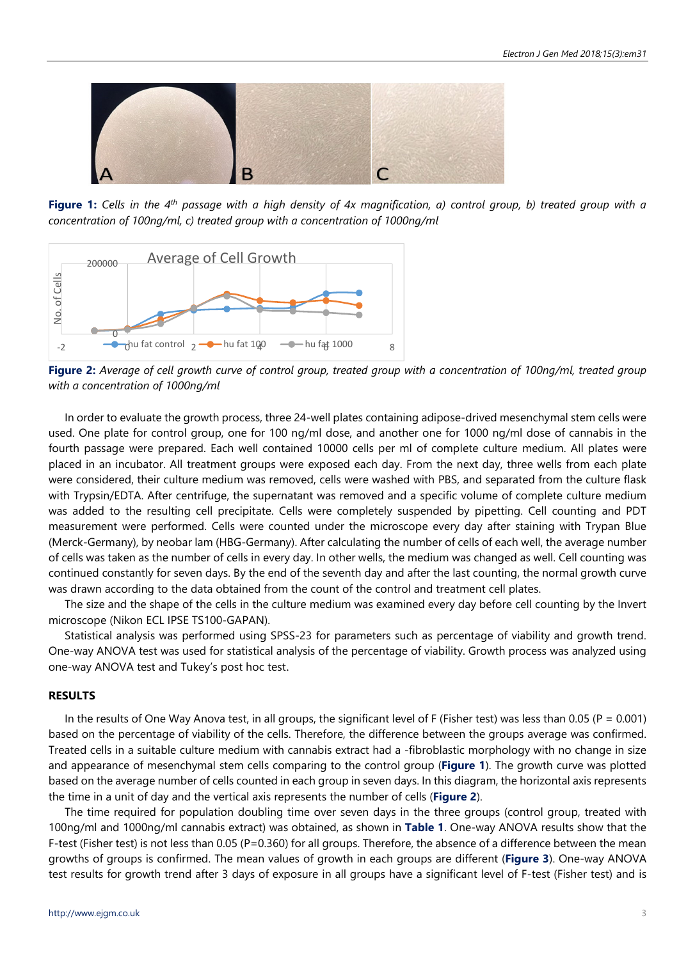

**Figure 1:** *Cells in the 4th passage with a high density of 4x magnification, a) control group, b) treated group with a concentration of 100ng/ml, c) treated group with a concentration of 1000ng/ml*



**Figure 2:** *Average of cell growth curve of control group, treated group with a concentration of 100ng/ml, treated group with a concentration of 1000ng/ml*

In order to evaluate the growth process, three 24-well plates containing adipose-drived mesenchymal stem cells were used. One plate for control group, one for 100 ng/ml dose, and another one for 1000 ng/ml dose of cannabis in the fourth passage were prepared. Each well contained 10000 cells per ml of complete culture medium. All plates were placed in an incubator. All treatment groups were exposed each day. From the next day, three wells from each plate were considered, their culture medium was removed, cells were washed with PBS, and separated from the culture flask with Trypsin/EDTA. After centrifuge, the supernatant was removed and a specific volume of complete culture medium was added to the resulting cell precipitate. Cells were completely suspended by pipetting. Cell counting and PDT measurement were performed. Cells were counted under the microscope every day after staining with Trypan Blue (Merck-Germany), by neobar lam (HBG-Germany). After calculating the number of cells of each well, the average number of cells was taken as the number of cells in every day. In other wells, the medium was changed as well. Cell counting was continued constantly for seven days. By the end of the seventh day and after the last counting, the normal growth curve was drawn according to the data obtained from the count of the control and treatment cell plates.

The size and the shape of the cells in the culture medium was examined every day before cell counting by the Invert microscope (Nikon ECL IPSE TS100-GAPAN).

Statistical analysis was performed using SPSS-23 for parameters such as percentage of viability and growth trend. One-way ANOVA test was used for statistical analysis of the percentage of viability. Growth process was analyzed using one-way ANOVA test and Tukey's post hoc test.

#### **RESULTS**

In the results of One Way Anova test, in all groups, the significant level of F (Fisher test) was less than 0.05 ( $P = 0.001$ ) based on the percentage of viability of the cells. Therefore, the difference between the groups average was confirmed. Treated cells in a suitable culture medium with cannabis extract had a -fibroblastic morphology with no change in size and appearance of mesenchymal stem cells comparing to the control group (**Figure 1**). The growth curve was plotted based on the average number of cells counted in each group in seven days. In this diagram, the horizontal axis represents the time in a unit of day and the vertical axis represents the number of cells (**Figure 2**).

The time required for population doubling time over seven days in the three groups (control group, treated with 100ng/ml and 1000ng/ml cannabis extract) was obtained, as shown in **Table 1**. One-way ANOVA results show that the F-test (Fisher test) is not less than 0.05 (P=0.360) for all groups. Therefore, the absence of a difference between the mean growths of groups is confirmed. The mean values of growth in each groups are different (**Figure 3**). One-way ANOVA test results for growth trend after 3 days of exposure in all groups have a significant level of F-test (Fisher test) and is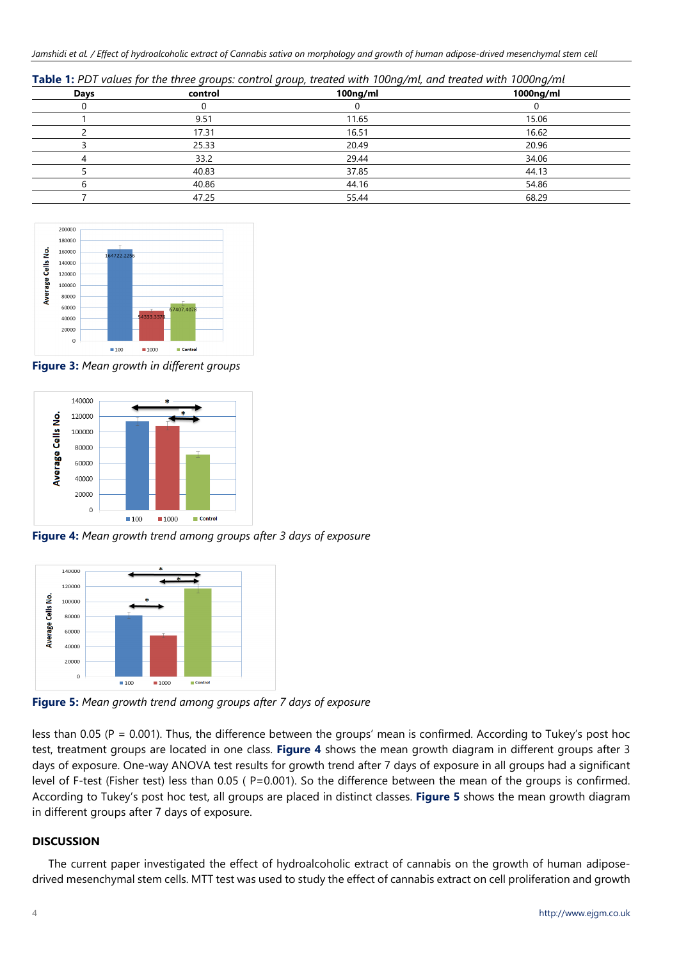Jamshidi et al. / Effect of hydroalcoholic extract of Cannabis sativa on morphology and growth of human adipose-drived mesenchymal stem cell

| <b>Table 1:</b> PDT values for the three groups: control group, treated with 100ng/ml, and treated with 1000ng/ml |  |
|-------------------------------------------------------------------------------------------------------------------|--|
|-------------------------------------------------------------------------------------------------------------------|--|

|         | __       |           |
|---------|----------|-----------|
| control | 100ng/ml | 1000ng/ml |
|         |          |           |
| 9.51    | 11.65    | 15.06     |
| 17.31   | 16.51    | 16.62     |
| 25.33   | 20.49    | 20.96     |
| 33.2    | 29.44    | 34.06     |
| 40.83   | 37.85    | 44.13     |
| 40.86   | 44.16    | 54.86     |
| 47.25   | 55.44    | 68.29     |
|         |          |           |



**Figure 3:** *Mean growth in different groups*



**Figure 4:** *Mean growth trend among groups after 3 days of exposure*



**Figure 5:** *Mean growth trend among groups after 7 days of exposure*

less than 0.05 (P = 0.001). Thus, the difference between the groups' mean is confirmed. According to Tukey's post hoc test, treatment groups are located in one class. **Figure 4** shows the mean growth diagram in different groups after 3 days of exposure. One-way ANOVA test results for growth trend after 7 days of exposure in all groups had a significant level of F-test (Fisher test) less than 0.05 (P=0.001). So the difference between the mean of the groups is confirmed. According to Tukey's post hoc test, all groups are placed in distinct classes. **Figure 5** shows the mean growth diagram in different groups after 7 days of exposure.

# **DISCUSSION**

The current paper investigated the effect of hydroalcoholic extract of cannabis on the growth of human adiposedrived mesenchymal stem cells. MTT test was used to study the effect of cannabis extract on cell proliferation and growth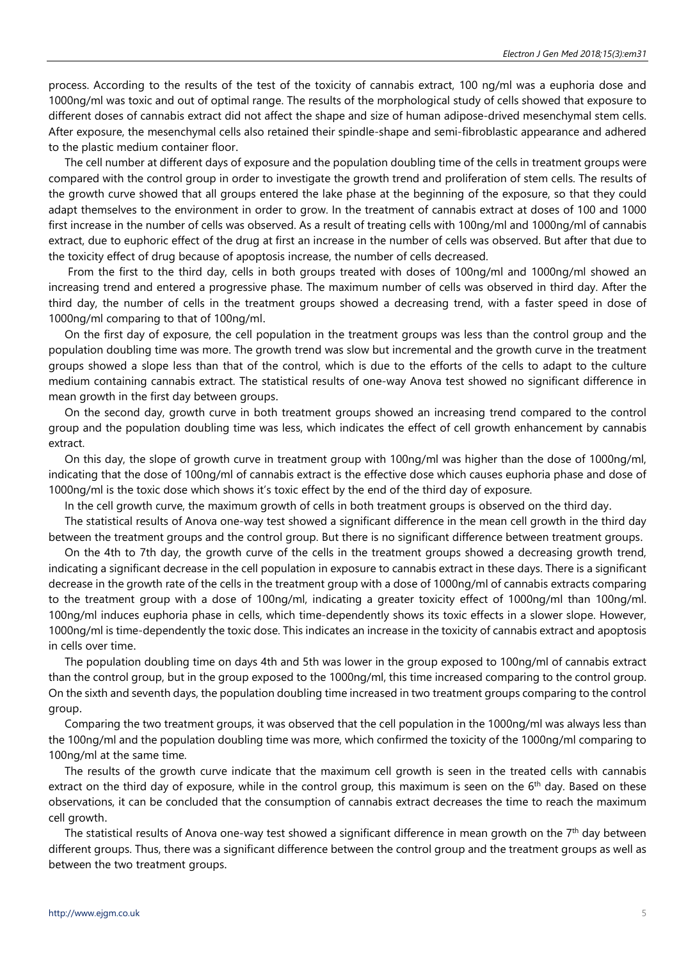process. According to the results of the test of the toxicity of cannabis extract, 100 ng/ml was a euphoria dose and 1000ng/ml was toxic and out of optimal range. The results of the morphological study of cells showed that exposure to different doses of cannabis extract did not affect the shape and size of human adipose-drived mesenchymal stem cells. After exposure, the mesenchymal cells also retained their spindle-shape and semi-fibroblastic appearance and adhered to the plastic medium container floor.

The cell number at different days of exposure and the population doubling time of the cells in treatment groups were compared with the control group in order to investigate the growth trend and proliferation of stem cells. The results of the growth curve showed that all groups entered the lake phase at the beginning of the exposure, so that they could adapt themselves to the environment in order to grow. In the treatment of cannabis extract at doses of 100 and 1000 first increase in the number of cells was observed. As a result of treating cells with 100ng/ml and 1000ng/ml of cannabis extract, due to euphoric effect of the drug at first an increase in the number of cells was observed. But after that due to the toxicity effect of drug because of apoptosis increase, the number of cells decreased.

 From the first to the third day, cells in both groups treated with doses of 100ng/ml and 1000ng/ml showed an increasing trend and entered a progressive phase. The maximum number of cells was observed in third day. After the third day, the number of cells in the treatment groups showed a decreasing trend, with a faster speed in dose of 1000ng/ml comparing to that of 100ng/ml.

On the first day of exposure, the cell population in the treatment groups was less than the control group and the population doubling time was more. The growth trend was slow but incremental and the growth curve in the treatment groups showed a slope less than that of the control, which is due to the efforts of the cells to adapt to the culture medium containing cannabis extract. The statistical results of one-way Anova test showed no significant difference in mean growth in the first day between groups.

On the second day, growth curve in both treatment groups showed an increasing trend compared to the control group and the population doubling time was less, which indicates the effect of cell growth enhancement by cannabis extract.

On this day, the slope of growth curve in treatment group with 100ng/ml was higher than the dose of 1000ng/ml, indicating that the dose of 100ng/ml of cannabis extract is the effective dose which causes euphoria phase and dose of 1000ng/ml is the toxic dose which shows it's toxic effect by the end of the third day of exposure.

In the cell growth curve, the maximum growth of cells in both treatment groups is observed on the third day.

The statistical results of Anova one-way test showed a significant difference in the mean cell growth in the third day between the treatment groups and the control group. But there is no significant difference between treatment groups.

On the 4th to 7th day, the growth curve of the cells in the treatment groups showed a decreasing growth trend, indicating a significant decrease in the cell population in exposure to cannabis extract in these days. There is a significant decrease in the growth rate of the cells in the treatment group with a dose of 1000ng/ml of cannabis extracts comparing to the treatment group with a dose of 100ng/ml, indicating a greater toxicity effect of 1000ng/ml than 100ng/ml. 100ng/ml induces euphoria phase in cells, which time-dependently shows its toxic effects in a slower slope. However, 1000ng/ml is time-dependently the toxic dose. This indicates an increase in the toxicity of cannabis extract and apoptosis in cells over time.

The population doubling time on days 4th and 5th was lower in the group exposed to 100ng/ml of cannabis extract than the control group, but in the group exposed to the 1000ng/ml, this time increased comparing to the control group. On the sixth and seventh days, the population doubling time increased in two treatment groups comparing to the control group.

Comparing the two treatment groups, it was observed that the cell population in the 1000ng/ml was always less than the 100ng/ml and the population doubling time was more, which confirmed the toxicity of the 1000ng/ml comparing to 100ng/ml at the same time.

The results of the growth curve indicate that the maximum cell growth is seen in the treated cells with cannabis extract on the third day of exposure, while in the control group, this maximum is seen on the 6<sup>th</sup> day. Based on these observations, it can be concluded that the consumption of cannabis extract decreases the time to reach the maximum cell growth.

The statistical results of Anova one-way test showed a significant difference in mean growth on the  $7<sup>th</sup>$  day between different groups. Thus, there was a significant difference between the control group and the treatment groups as well as between the two treatment groups.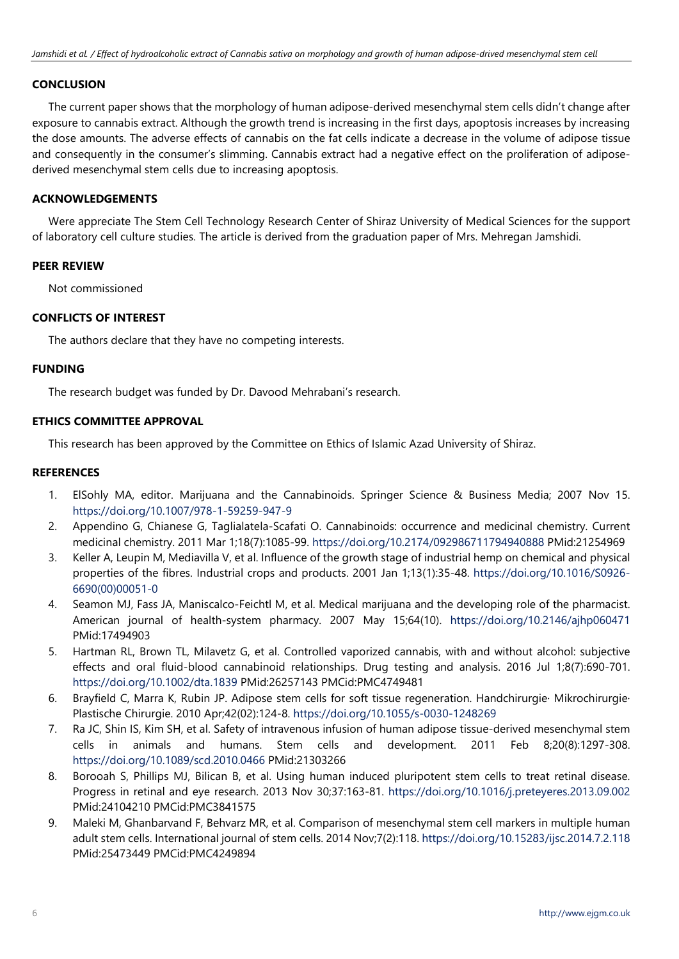# **CONCLUSION**

The current paper shows that the morphology of human adipose-derived mesenchymal stem cells didn't change after exposure to cannabis extract. Although the growth trend is increasing in the first days, apoptosis increases by increasing the dose amounts. The adverse effects of cannabis on the fat cells indicate a decrease in the volume of adipose tissue and consequently in the consumer's slimming. Cannabis extract had a negative effect on the proliferation of adiposederived mesenchymal stem cells due to increasing apoptosis.

# **ACKNOWLEDGEMENTS**

Were appreciate The Stem Cell Technology Research Center of Shiraz University of Medical Sciences for the support of laboratory cell culture studies. The article is derived from the graduation paper of Mrs. Mehregan Jamshidi.

#### **PEER REVIEW**

Not commissioned

# **CONFLICTS OF INTEREST**

The authors declare that they have no competing interests.

#### **FUNDING**

The research budget was funded by Dr. Davood Mehrabani's research.

## **ETHICS COMMITTEE APPROVAL**

This research has been approved by the Committee on Ethics of Islamic Azad University of Shiraz.

## **REFERENCES**

- 1. ElSohly MA, editor. Marijuana and the Cannabinoids. Springer Science & Business Media; 2007 Nov 15. https://doi.org/10.1007/978-1-59259-947-9
- 2. Appendino G, Chianese G, Taglialatela-Scafati O. Cannabinoids: occurrence and medicinal chemistry. Current medicinal chemistry. 2011 Mar 1;18(7):1085-99. https://doi.org/10.2174/092986711794940888 PMid:21254969
- 3. Keller A, Leupin M, Mediavilla V, et al. Influence of the growth stage of industrial hemp on chemical and physical properties of the fibres. Industrial crops and products. 2001 Jan 1;13(1):35-48. https://doi.org/10.1016/S0926- 6690(00)00051-0
- 4. Seamon MJ, Fass JA, Maniscalco-Feichtl M, et al. Medical marijuana and the developing role of the pharmacist. American journal of health-system pharmacy. 2007 May 15;64(10). https://doi.org/10.2146/ajhp060471 PMid:17494903
- 5. Hartman RL, Brown TL, Milavetz G, et al. Controlled vaporized cannabis, with and without alcohol: subjective effects and oral fluid-blood cannabinoid relationships. Drug testing and analysis. 2016 Jul 1;8(7):690-701. https://doi.org/10.1002/dta.1839 PMid:26257143 PMCid:PMC4749481
- 6. Brayfield C, Marra K, Rubin JP. Adipose stem cells for soft tissue regeneration. Handchirurgie· Mikrochirurgie· Plastische Chirurgie. 2010 Apr;42(02):124-8. https://doi.org/10.1055/s-0030-1248269
- 7. Ra JC, Shin IS, Kim SH, et al. Safety of intravenous infusion of human adipose tissue-derived mesenchymal stem cells in animals and humans. Stem cells and development. 2011 Feb 8;20(8):1297-308. https://doi.org/10.1089/scd.2010.0466 PMid:21303266
- 8. Borooah S, Phillips MJ, Bilican B, et al. Using human induced pluripotent stem cells to treat retinal disease. Progress in retinal and eye research. 2013 Nov 30;37:163-81. https://doi.org/10.1016/j.preteyeres.2013.09.002 PMid:24104210 PMCid:PMC3841575
- 9. Maleki M, Ghanbarvand F, Behvarz MR, et al. Comparison of mesenchymal stem cell markers in multiple human adult stem cells. International journal of stem cells. 2014 Nov;7(2):118. https://doi.org/10.15283/ijsc.2014.7.2.118 PMid:25473449 PMCid:PMC4249894